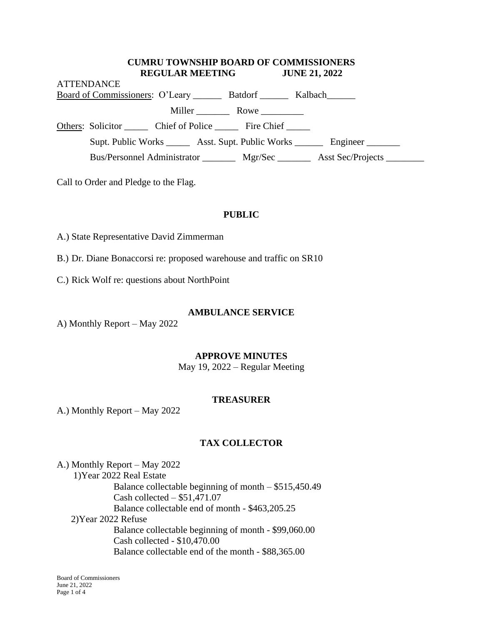#### **CUMRU TOWNSHIP BOARD OF COMMISSIONERS REGULAR MEETING JUNE 21, 2022**

| <b>ATTENDANCE</b>                                                                |                                                                           |             |                                                                                  |  |
|----------------------------------------------------------------------------------|---------------------------------------------------------------------------|-------------|----------------------------------------------------------------------------------|--|
|                                                                                  | Board of Commissioners: O'Leary _________ Batdorf ________ Kalbach_______ |             |                                                                                  |  |
|                                                                                  |                                                                           | Miller Rowe |                                                                                  |  |
|                                                                                  | Others: Solicitor Chief of Police Fire Chief                              |             |                                                                                  |  |
| Supt. Public Works ________ Asst. Supt. Public Works _________ Engineer ________ |                                                                           |             |                                                                                  |  |
|                                                                                  |                                                                           |             | Bus/Personnel Administrator _________ Mgr/Sec ________ Asst Sec/Projects _______ |  |

Call to Order and Pledge to the Flag.

#### **PUBLIC**

A.) State Representative David Zimmerman

B.) Dr. Diane Bonaccorsi re: proposed warehouse and traffic on SR10

C.) Rick Wolf re: questions about NorthPoint

#### **AMBULANCE SERVICE**

A) Monthly Report – May 2022

#### **APPROVE MINUTES**

May 19, 2022 – Regular Meeting

#### **TREASURER**

A.) Monthly Report – May 2022

### **TAX COLLECTOR**

A.) Monthly Report – May 2022 1)Year 2022 Real Estate Balance collectable beginning of month – \$515,450.49 Cash collected – \$51,471.07 Balance collectable end of month - \$463,205.25 2)Year 2022 Refuse Balance collectable beginning of month - \$99,060.00 Cash collected - \$10,470.00 Balance collectable end of the month - \$88,365.00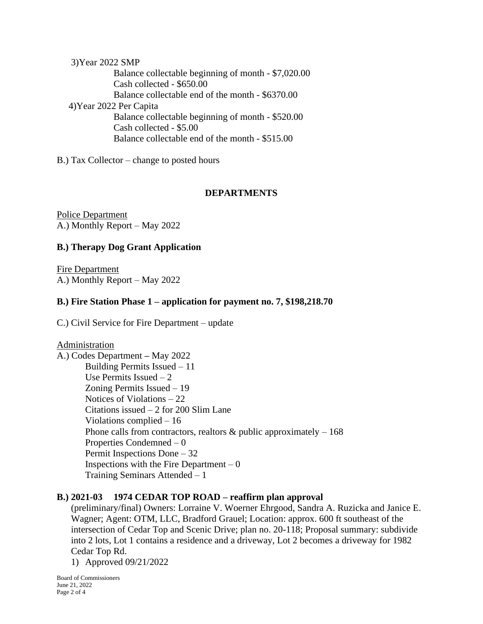3)Year 2022 SMP Balance collectable beginning of month - \$7,020.00 Cash collected - \$650.00 Balance collectable end of the month - \$6370.00 4)Year 2022 Per Capita Balance collectable beginning of month - \$520.00 Cash collected - \$5.00 Balance collectable end of the month - \$515.00

B.) Tax Collector – change to posted hours

# **DEPARTMENTS**

Police Department A.) Monthly Report – May 2022

# **B.) Therapy Dog Grant Application**

Fire Department A.) Monthly Report – May 2022

# **B.) Fire Station Phase 1 – application for payment no. 7, \$198,218.70**

C.) Civil Service for Fire Department – update

### **Administration**

A.) Codes Department **–** May 2022 Building Permits Issued – 11 Use Permits Issued – 2 Zoning Permits Issued – 19 Notices of Violations – 22 Citations issued – 2 for 200 Slim Lane Violations complied – 16 Phone calls from contractors, realtors  $\&$  public approximately  $-168$ Properties Condemned – 0 Permit Inspections Done – 32 Inspections with the Fire Department  $-0$ Training Seminars Attended – 1

# **B.) 2021-03 1974 CEDAR TOP ROAD – reaffirm plan approval**

(preliminary/final) Owners: Lorraine V. Woerner Ehrgood, Sandra A. Ruzicka and Janice E. Wagner; Agent: OTM, LLC, Bradford Grauel; Location: approx. 600 ft southeast of the intersection of Cedar Top and Scenic Drive; plan no. 20-118; Proposal summary: subdivide into 2 lots, Lot 1 contains a residence and a driveway, Lot 2 becomes a driveway for 1982 Cedar Top Rd.

1) Approved 09/21/2022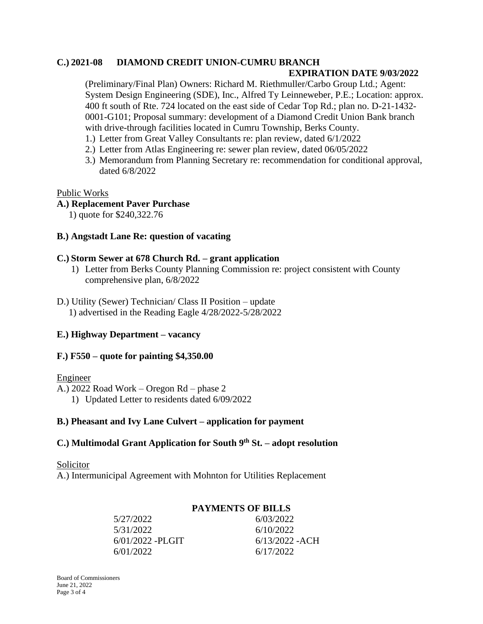## **C.) 2021-08 DIAMOND CREDIT UNION-CUMRU BRANCH**

### **EXPIRATION DATE 9/03/2022**

(Preliminary/Final Plan) Owners: Richard M. Riethmuller/Carbo Group Ltd.; Agent: System Design Engineering (SDE), Inc., Alfred Ty Leinneweber, P.E.; Location: approx. 400 ft south of Rte. 724 located on the east side of Cedar Top Rd.; plan no. D-21-1432- 0001-G101; Proposal summary: development of a Diamond Credit Union Bank branch with drive-through facilities located in Cumru Township, Berks County.

- 1.) Letter from Great Valley Consultants re: plan review, dated 6/1/2022
- 2.) Letter from Atlas Engineering re: sewer plan review, dated 06/05/2022
- 3.) Memorandum from Planning Secretary re: recommendation for conditional approval, dated 6/8/2022

### Public Works

# **A.) Replacement Paver Purchase**

1) quote for \$240,322.76

## **B.) Angstadt Lane Re: question of vacating**

### **C.) Storm Sewer at 678 Church Rd. – grant application**

- 1) Letter from Berks County Planning Commission re: project consistent with County comprehensive plan, 6/8/2022
- D.) Utility (Sewer) Technician/ Class II Position update 1) advertised in the Reading Eagle 4/28/2022-5/28/2022

# **E.) Highway Department – vacancy**

### **F.) F550 – quote for painting \$4,350.00**

### Engineer

A.) 2022 Road Work – Oregon Rd – phase 2 1) Updated Letter to residents dated 6/09/2022

### **B.) Pheasant and Ivy Lane Culvert – application for payment**

## **C.) Multimodal Grant Application for South 9th St. – adopt resolution**

### Solicitor

A.) Intermunicipal Agreement with Mohnton for Utilities Replacement

# **PAYMENTS OF BILLS**

| 5/27/2022          | 6/03/2022        |
|--------------------|------------------|
| 5/31/2022          | 6/10/2022        |
| $6/01/2022$ -PLGIT | $6/13/2022$ -ACH |
| 6/01/2022          | 6/17/2022        |